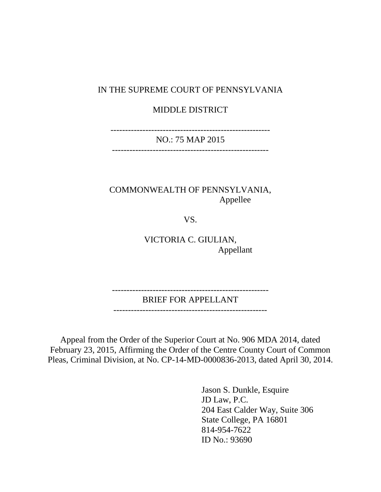#### IN THE SUPREME COURT OF PENNSYLVANIA

### MIDDLE DISTRICT

-------------------------------------------------------

NO.: 75 MAP 2015 ------------------------------------------------------

COMMONWEALTH OF PENNSYLVANIA, Appellee

VS.

VICTORIA C. GIULIAN, Appellant

------------------------------------------------------

BRIEF FOR APPELLANT

-----------------------------------------------------

Appeal from the Order of the Superior Court at No. 906 MDA 2014, dated February 23, 2015, Affirming the Order of the Centre County Court of Common Pleas, Criminal Division, at No. CP-14-MD-0000836-2013, dated April 30, 2014.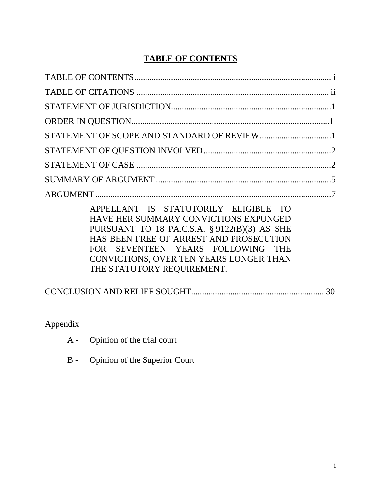## **TABLE OF CONTENTS**

| APPELLANT IS STATUTORILY ELIGIBLE TO<br>HAVE HER SUMMARY CONVICTIONS EXPUNGED<br>PURSUANT TO 18 PA.C.S.A. § 9122(B)(3) AS SHE<br>HAS BEEN FREE OF ARREST AND PROSECUTION<br>FOR SEVENTEEN YEARS FOLLOWING THE<br>CONVICTIONS, OVER TEN YEARS LONGER THAN<br>THE STATUTORY REQUIREMENT. |
|----------------------------------------------------------------------------------------------------------------------------------------------------------------------------------------------------------------------------------------------------------------------------------------|
| 30                                                                                                                                                                                                                                                                                     |

Appendix

| $A -$ | Opinion of the trial court |
|-------|----------------------------|
|-------|----------------------------|

B - Opinion of the Superior Court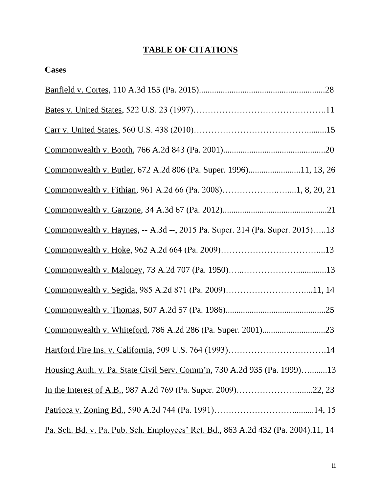## **TABLE OF CITATIONS**

| <b>Cases</b>                                                                       |
|------------------------------------------------------------------------------------|
|                                                                                    |
|                                                                                    |
|                                                                                    |
|                                                                                    |
|                                                                                    |
|                                                                                    |
|                                                                                    |
| <u>Commonwealth v. Haynes, -- A.3d --, 2015</u> Pa. Super. 214 (Pa. Super. 2015)13 |
|                                                                                    |
|                                                                                    |
| Commonwealth v. Segida, 985 A.2d 871 (Pa. 2009)11, 14                              |
|                                                                                    |
|                                                                                    |
| Hartford Fire Ins. v. California, 509 U.S. 764 (1993)14                            |
| Housing Auth. v. Pa. State Civil Serv. Comm'n, 730 A.2d 935 (Pa. 1999)13           |
| In the Interest of A.B., 987 A.2d 769 (Pa. Super. 2009)22, 23                      |
|                                                                                    |
| Pa. Sch. Bd. v. Pa. Pub. Sch. Employees' Ret. Bd., 863 A.2d 432 (Pa. 2004).11, 14  |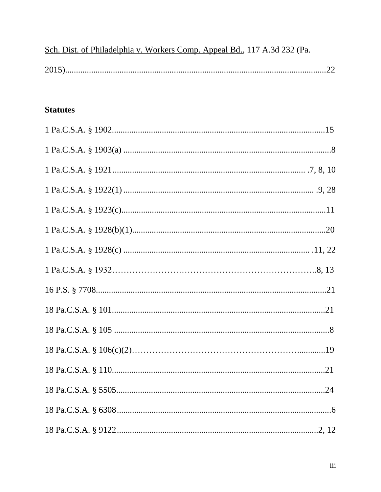|  |  | Sch. Dist. of Philadelphia v. Workers Comp. Appeal Bd., 117 A.3d 232 (Pa. |  |
|--|--|---------------------------------------------------------------------------|--|
|  |  |                                                                           |  |

## **Statutes**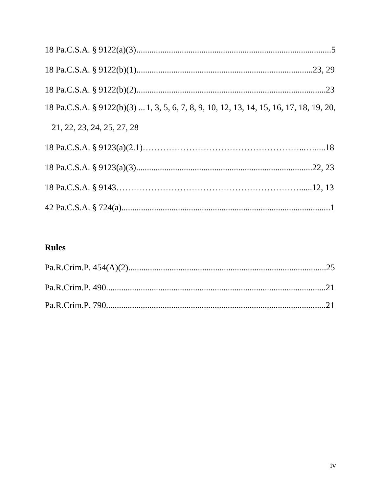| 18 Pa.C.S.A. § 9122(b)(3)  1, 3, 5, 6, 7, 8, 9, 10, 12, 13, 14, 15, 16, 17, 18, 19, 20, |  |
|-----------------------------------------------------------------------------------------|--|
| 21, 22, 23, 24, 25, 27, 28                                                              |  |
|                                                                                         |  |
|                                                                                         |  |
|                                                                                         |  |
|                                                                                         |  |

## **Rules**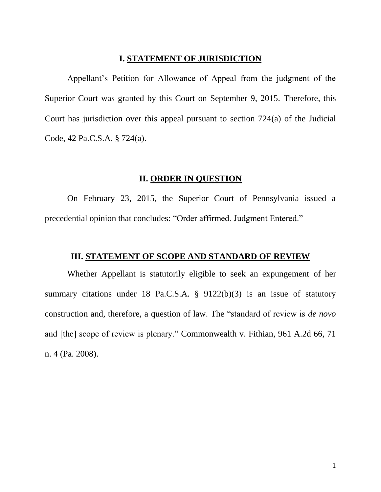#### **I. STATEMENT OF JURISDICTION**

<span id="page-5-0"></span>Appellant's Petition for Allowance of Appeal from the judgment of the Superior Court was granted by this Court on September 9, 2015. Therefore, this Court has jurisdiction over this appeal pursuant to section 724(a) of the Judicial Code, 42 Pa.C.S.A. § 724(a).

### **II. ORDER IN QUESTION**

<span id="page-5-1"></span>On February 23, 2015, the Superior Court of Pennsylvania issued a precedential opinion that concludes: "Order affirmed. Judgment Entered."

### **III. STATEMENT OF SCOPE AND STANDARD OF REVIEW**

Whether Appellant is statutorily eligible to seek an expungement of her summary citations under 18 Pa.C.S.A. § 9122(b)(3) is an issue of statutory construction and, therefore, a question of law. The "standard of review is *de novo* and [the] scope of review is plenary." Commonwealth v. Fithian, 961 A.2d 66, 71 n. 4 (Pa. 2008).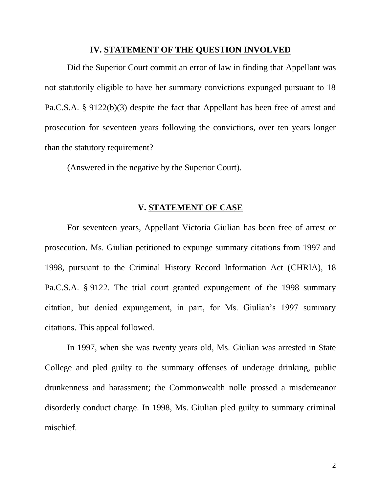#### **IV. STATEMENT OF THE QUESTION INVOLVED**

Did the Superior Court commit an error of law in finding that Appellant was not statutorily eligible to have her summary convictions expunged pursuant to 18 Pa.C.S.A. § 9122(b)(3) despite the fact that Appellant has been free of arrest and prosecution for seventeen years following the convictions, over ten years longer than the statutory requirement?

(Answered in the negative by the Superior Court).

### **V. STATEMENT OF CASE**

<span id="page-6-0"></span>For seventeen years, Appellant Victoria Giulian has been free of arrest or prosecution. Ms. Giulian petitioned to expunge summary citations from 1997 and 1998, pursuant to the Criminal History Record Information Act (CHRIA), 18 Pa.C.S.A. § 9122. The trial court granted expungement of the 1998 summary citation, but denied expungement, in part, for Ms. Giulian's 1997 summary citations. This appeal followed.

In 1997, when she was twenty years old, Ms. Giulian was arrested in State College and pled guilty to the summary offenses of underage drinking, public drunkenness and harassment; the Commonwealth nolle prossed a misdemeanor disorderly conduct charge. In 1998, Ms. Giulian pled guilty to summary criminal mischief.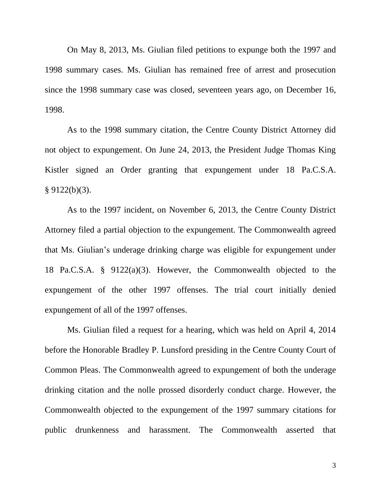On May 8, 2013, Ms. Giulian filed petitions to expunge both the 1997 and 1998 summary cases. Ms. Giulian has remained free of arrest and prosecution since the 1998 summary case was closed, seventeen years ago, on December 16, 1998.

As to the 1998 summary citation, the Centre County District Attorney did not object to expungement. On June 24, 2013, the President Judge Thomas King Kistler signed an Order granting that expungement under 18 Pa.C.S.A.  $§ 9122(b)(3).$ 

As to the 1997 incident, on November 6, 2013, the Centre County District Attorney filed a partial objection to the expungement. The Commonwealth agreed that Ms. Giulian's underage drinking charge was eligible for expungement under 18 Pa.C.S.A. § 9122(a)(3). However, the Commonwealth objected to the expungement of the other 1997 offenses. The trial court initially denied expungement of all of the 1997 offenses.

Ms. Giulian filed a request for a hearing, which was held on April 4, 2014 before the Honorable Bradley P. Lunsford presiding in the Centre County Court of Common Pleas. The Commonwealth agreed to expungement of both the underage drinking citation and the nolle prossed disorderly conduct charge. However, the Commonwealth objected to the expungement of the 1997 summary citations for public drunkenness and harassment. The Commonwealth asserted that

3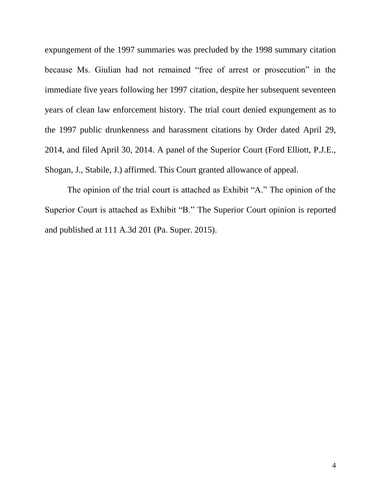expungement of the 1997 summaries was precluded by the 1998 summary citation because Ms. Giulian had not remained "free of arrest or prosecution" in the immediate five years following her 1997 citation, despite her subsequent seventeen years of clean law enforcement history. The trial court denied expungement as to the 1997 public drunkenness and harassment citations by Order dated April 29, 2014, and filed April 30, 2014. A panel of the Superior Court (Ford Elliott, P.J.E., Shogan, J., Stabile, J.) affirmed. This Court granted allowance of appeal.

<span id="page-8-0"></span>The opinion of the trial court is attached as Exhibit "A." The opinion of the Superior Court is attached as Exhibit "B." The Superior Court opinion is reported and published at 111 A.3d 201 (Pa. Super. 2015).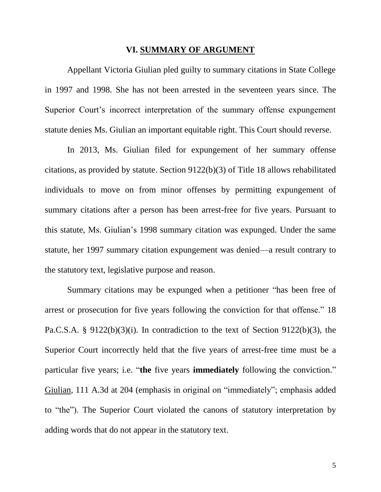#### **VI. SUMMARY OF ARGUMENT**

<span id="page-9-0"></span>Appellant Victoria Giulian pled guilty to summary citations in State College in 1997 and 1998. She has not been arrested in the seventeen years since. The Superior Court's incorrect interpretation of the summary offense expungement statute denies Ms. Giulian an important equitable right. This Court should reverse.

In 2013, Ms. Giulian filed for expungement of her summary offense citations, as provided by statute. Section 9122(b)(3) of Title 18 allows rehabilitated individuals to move on from minor offenses by permitting expungement of summary citations after a person has been arrest-free for five years. Pursuant to this statute, Ms. Giulian's 1998 summary citation was expunged. Under the same statute, her 1997 summary citation expungement was denied—a result contrary to the statutory text, legislative purpose and reason.

Summary citations may be expunged when a petitioner "has been free of arrest or prosecution for five years following the conviction for that offense." 18 Pa.C.S.A. § 9122(b)(3)(i). In contradiction to the text of Section 9122(b)(3), the Superior Court incorrectly held that the five years of arrest-free time must be a particular five years; i.e. "**the** five years **immediately** following the conviction." Giulian, 111 A.3d at 204 (emphasis in original on "immediately"; emphasis added to "the"). The Superior Court violated the canons of statutory interpretation by adding words that do not appear in the statutory text.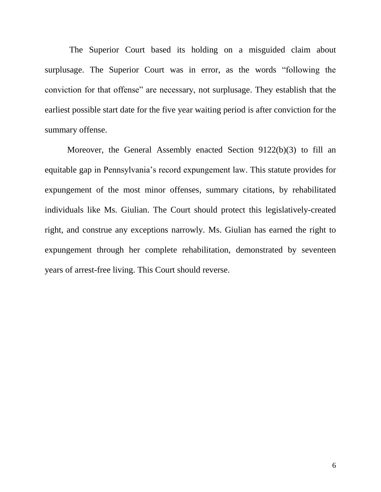The Superior Court based its holding on a misguided claim about surplusage. The Superior Court was in error, as the words "following the conviction for that offense" are necessary, not surplusage. They establish that the earliest possible start date for the five year waiting period is after conviction for the summary offense.

Moreover, the General Assembly enacted Section 9122(b)(3) to fill an equitable gap in Pennsylvania's record expungement law. This statute provides for expungement of the most minor offenses, summary citations, by rehabilitated individuals like Ms. Giulian. The Court should protect this legislatively-created right, and construe any exceptions narrowly. Ms. Giulian has earned the right to expungement through her complete rehabilitation, demonstrated by seventeen years of arrest-free living. This Court should reverse.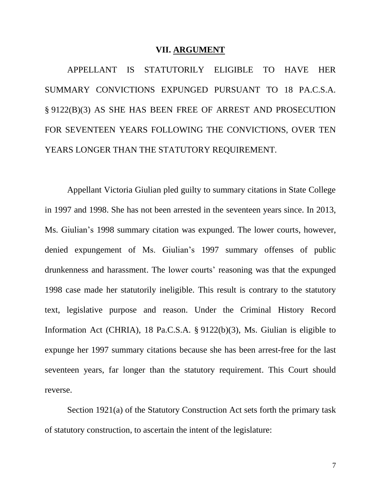#### **VII. ARGUMENT**

APPELLANT IS STATUTORILY ELIGIBLE TO HAVE HER SUMMARY CONVICTIONS EXPUNGED PURSUANT TO 18 PA.C.S.A. § 9122(B)(3) AS SHE HAS BEEN FREE OF ARREST AND PROSECUTION FOR SEVENTEEN YEARS FOLLOWING THE CONVICTIONS, OVER TEN YEARS LONGER THAN THE STATUTORY REQUIREMENT.

Appellant Victoria Giulian pled guilty to summary citations in State College in 1997 and 1998. She has not been arrested in the seventeen years since. In 2013, Ms. Giulian's 1998 summary citation was expunged. The lower courts, however, denied expungement of Ms. Giulian's 1997 summary offenses of public drunkenness and harassment. The lower courts' reasoning was that the expunged 1998 case made her statutorily ineligible. This result is contrary to the statutory text, legislative purpose and reason. Under the Criminal History Record Information Act (CHRIA), 18 Pa.C.S.A. § 9122(b)(3), Ms. Giulian is eligible to expunge her 1997 summary citations because she has been arrest-free for the last seventeen years, far longer than the statutory requirement. This Court should reverse.

Section 1921(a) of the Statutory Construction Act sets forth the primary task of statutory construction, to ascertain the intent of the legislature: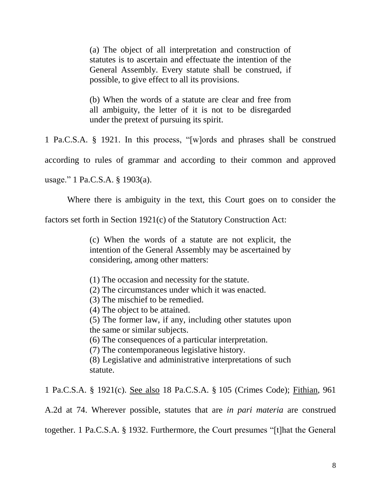(a) The object of all interpretation and construction of statutes is to ascertain and effectuate the intention of the General Assembly. Every statute shall be construed, if possible, to give effect to all its provisions.

(b) When the words of a statute are clear and free from all ambiguity, the letter of it is not to be disregarded under the pretext of pursuing its spirit.

1 Pa.C.S.A. § 1921. In this process, "[w]ords and phrases shall be construed

according to rules of grammar and according to their common and approved

usage." 1 Pa.C.S.A. § 1903(a).

Where there is ambiguity in the text, this Court goes on to consider the

factors set forth in Section 1921(c) of the Statutory Construction Act:

(c) When the words of a statute are not explicit, the intention of the General Assembly may be ascertained by considering, among other matters:

(1) The occasion and necessity for the statute.

(2) The circumstances under which it was enacted.

(3) The mischief to be remedied.

(4) The object to be attained.

(5) The former law, if any, including other statutes upon the same or similar subjects.

(6) The consequences of a particular interpretation.

(7) The contemporaneous legislative history.

(8) Legislative and administrative interpretations of such statute.

1 Pa.C.S.A. § 1921(c). See also 18 Pa.C.S.A. § 105 (Crimes Code); Fithian, 961

A.2d at 74. Wherever possible, statutes that are *in pari materia* are construed

together. 1 Pa.C.S.A. § 1932. Furthermore, the Court presumes "[t]hat the General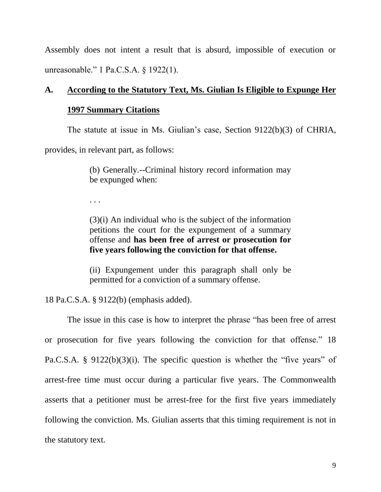Assembly does not intent a result that is absurd, impossible of execution or unreasonable." 1 Pa.C.S.A. § 1922(1).

## **A. According to the Statutory Text, Ms. Giulian Is Eligible to Expunge Her**

#### **1997 Summary Citations**

The statute at issue in Ms. Giulian's case, Section 9122(b)(3) of CHRIA,

provides, in relevant part, as follows:

(b) Generally.--Criminal history record information may be expunged when:

. . .

(3)(i) An individual who is the subject of the information petitions the court for the expungement of a summary offense and **has been free of arrest or prosecution for five years following the conviction for that offense.**

(ii) Expungement under this paragraph shall only be permitted for a conviction of a summary offense.

18 Pa.C.S.A. § 9122(b) (emphasis added).

The issue in this case is how to interpret the phrase "has been free of arrest or prosecution for five years following the conviction for that offense." 18 Pa.C.S.A. § 9122(b)(3)(i). The specific question is whether the "five years" of arrest-free time must occur during a particular five years. The Commonwealth asserts that a petitioner must be arrest-free for the first five years immediately following the conviction. Ms. Giulian asserts that this timing requirement is not in the statutory text.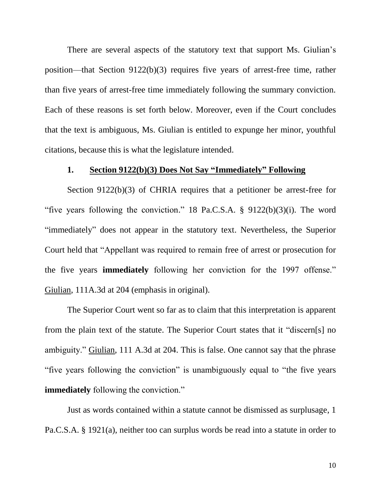There are several aspects of the statutory text that support Ms. Giulian's position—that Section 9122(b)(3) requires five years of arrest-free time, rather than five years of arrest-free time immediately following the summary conviction. Each of these reasons is set forth below. Moreover, even if the Court concludes that the text is ambiguous, Ms. Giulian is entitled to expunge her minor, youthful citations, because this is what the legislature intended.

### **1. Section 9122(b)(3) Does Not Say "Immediately" Following**

Section 9122(b)(3) of CHRIA requires that a petitioner be arrest-free for "five years following the conviction." 18 Pa.C.S.A.  $\S$  9122(b)(3)(i). The word "immediately" does not appear in the statutory text. Nevertheless, the Superior Court held that "Appellant was required to remain free of arrest or prosecution for the five years **immediately** following her conviction for the 1997 offense." Giulian, 111A.3d at 204 (emphasis in original).

The Superior Court went so far as to claim that this interpretation is apparent from the plain text of the statute. The Superior Court states that it "discern[s] no ambiguity." Giulian, 111 A.3d at 204. This is false. One cannot say that the phrase "five years following the conviction" is unambiguously equal to "the five years **immediately** following the conviction."

Just as words contained within a statute cannot be dismissed as surplusage, 1 Pa.C.S.A. § 1921(a), neither too can surplus words be read into a statute in order to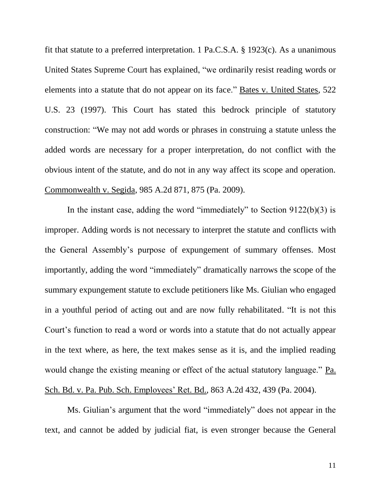fit that statute to a preferred interpretation. 1 Pa.C.S.A. § 1923(c). As a unanimous United States Supreme Court has explained, "we ordinarily resist reading words or elements into a statute that do not appear on its face." Bates v. United States, 522 U.S. 23 (1997). This Court has stated this bedrock principle of statutory construction: "We may not add words or phrases in construing a statute unless the added words are necessary for a proper interpretation, do not conflict with the obvious intent of the statute, and do not in any way affect its scope and operation. Commonwealth v. Segida, 985 A.2d 871, 875 (Pa. 2009).

In the instant case, adding the word "immediately" to Section  $9122(b)(3)$  is improper. Adding words is not necessary to interpret the statute and conflicts with the General Assembly's purpose of expungement of summary offenses. Most importantly, adding the word "immediately" dramatically narrows the scope of the summary expungement statute to exclude petitioners like Ms. Giulian who engaged in a youthful period of acting out and are now fully rehabilitated. "It is not this Court's function to read a word or words into a statute that do not actually appear in the text where, as here, the text makes sense as it is, and the implied reading would change the existing meaning or effect of the actual statutory language." Pa. Sch. Bd. v. Pa. Pub. Sch. Employees' Ret. Bd., 863 A.2d 432, 439 (Pa. 2004).

Ms. Giulian's argument that the word "immediately" does not appear in the text, and cannot be added by judicial fiat, is even stronger because the General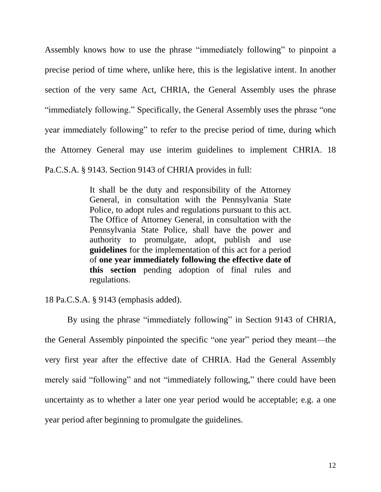Assembly knows how to use the phrase "immediately following" to pinpoint a precise period of time where, unlike here, this is the legislative intent. In another section of the very same Act, CHRIA, the General Assembly uses the phrase "immediately following." Specifically, the General Assembly uses the phrase "one year immediately following" to refer to the precise period of time, during which the Attorney General may use interim guidelines to implement CHRIA. 18 Pa.C.S.A. § 9143. Section 9143 of CHRIA provides in full:

> It shall be the duty and responsibility of the Attorney General, in consultation with the Pennsylvania State Police, to adopt rules and regulations pursuant to this act. The Office of Attorney General, in consultation with the Pennsylvania State Police, shall have the power and authority to promulgate, adopt, publish and use **guidelines** for the implementation of this act for a period of **one year immediately following the effective date of this section** pending adoption of final rules and regulations.

18 Pa.C.S.A. § 9143 (emphasis added).

By using the phrase "immediately following" in Section 9143 of CHRIA, the General Assembly pinpointed the specific "one year" period they meant—the very first year after the effective date of CHRIA. Had the General Assembly merely said "following" and not "immediately following," there could have been uncertainty as to whether a later one year period would be acceptable; e.g. a one year period after beginning to promulgate the guidelines.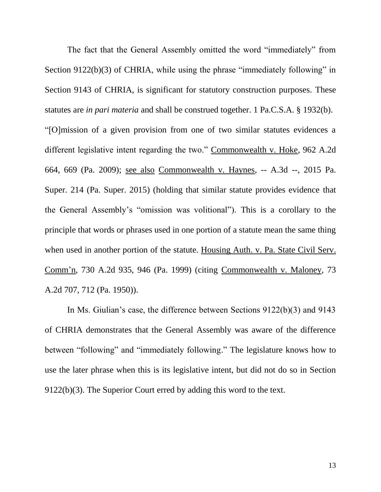The fact that the General Assembly omitted the word "immediately" from Section 9122(b)(3) of CHRIA, while using the phrase "immediately following" in Section 9143 of CHRIA, is significant for statutory construction purposes. These statutes are *in pari materia* and shall be construed together. 1 Pa.C.S.A. § 1932(b). "[O]mission of a given provision from one of two similar statutes evidences a different legislative intent regarding the two." Commonwealth v. Hoke, 962 A.2d 664, 669 (Pa. 2009); see also Commonwealth v. Haynes, -- A.3d --, 2015 Pa. Super. 214 (Pa. Super. 2015) (holding that similar statute provides evidence that the General Assembly's "omission was volitional"). This is a corollary to the principle that words or phrases used in one portion of a statute mean the same thing when used in another portion of the statute. Housing Auth. v. Pa. State Civil Serv. Comm'n, 730 A.2d 935, 946 (Pa. 1999) (citing Commonwealth v. Maloney, 73 A.2d 707, 712 (Pa. 1950)).

In Ms. Giulian's case, the difference between Sections 9122(b)(3) and 9143 of CHRIA demonstrates that the General Assembly was aware of the difference between "following" and "immediately following." The legislature knows how to use the later phrase when this is its legislative intent, but did not do so in Section 9122(b)(3). The Superior Court erred by adding this word to the text.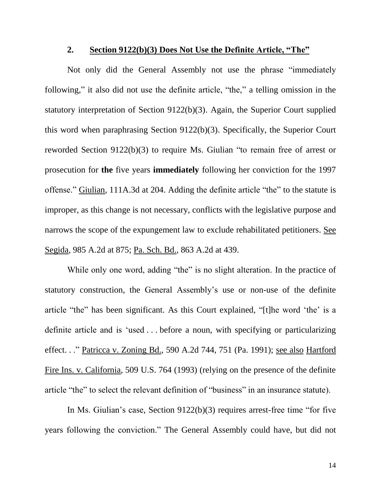#### **2. Section 9122(b)(3) Does Not Use the Definite Article, "The"**

Not only did the General Assembly not use the phrase "immediately following," it also did not use the definite article, "the," a telling omission in the statutory interpretation of Section 9122(b)(3). Again, the Superior Court supplied this word when paraphrasing Section 9122(b)(3). Specifically, the Superior Court reworded Section 9122(b)(3) to require Ms. Giulian "to remain free of arrest or prosecution for **the** five years **immediately** following her conviction for the 1997 offense." Giulian, 111A.3d at 204. Adding the definite article "the" to the statute is improper, as this change is not necessary, conflicts with the legislative purpose and narrows the scope of the expungement law to exclude rehabilitated petitioners. See Segida, 985 A.2d at 875; Pa. Sch. Bd., 863 A.2d at 439.

While only one word, adding "the" is no slight alteration. In the practice of statutory construction, the General Assembly's use or non-use of the definite article "the" has been significant. As this Court explained, "[t]he word 'the' is a definite article and is 'used . . . before a noun, with specifying or particularizing effect. . ." Patricca v. Zoning Bd., 590 A.2d 744, 751 (Pa. 1991); see also Hartford Fire Ins. v. California, 509 U.S. 764 (1993) (relying on the presence of the definite article "the" to select the relevant definition of "business" in an insurance statute).

In Ms. Giulian's case, Section 9122(b)(3) requires arrest-free time "for five years following the conviction." The General Assembly could have, but did not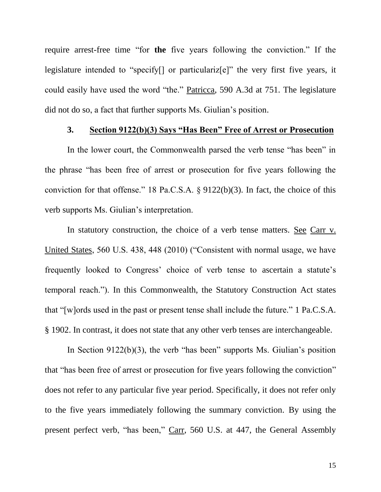require arrest-free time "for **the** five years following the conviction." If the legislature intended to "specify[] or particulariz[e]" the very first five years, it could easily have used the word "the." Patricca, 590 A.3d at 751. The legislature did not do so, a fact that further supports Ms. Giulian's position.

#### **3. Section 9122(b)(3) Says "Has Been" Free of Arrest or Prosecution**

In the lower court, the Commonwealth parsed the verb tense "has been" in the phrase "has been free of arrest or prosecution for five years following the conviction for that offense." 18 Pa.C.S.A. § 9122(b)(3). In fact, the choice of this verb supports Ms. Giulian's interpretation.

In statutory construction, the choice of a verb tense matters. See Carr v. United States, 560 U.S. 438, 448 (2010) ("Consistent with normal usage, we have frequently looked to Congress' choice of verb tense to ascertain a statute's temporal reach."). In this Commonwealth, the Statutory Construction Act states that "[w]ords used in the past or present tense shall include the future." 1 Pa.C.S.A. § 1902. In contrast, it does not state that any other verb tenses are interchangeable.

In Section 9122(b)(3), the verb "has been" supports Ms. Giulian's position that "has been free of arrest or prosecution for five years following the conviction" does not refer to any particular five year period. Specifically, it does not refer only to the five years immediately following the summary conviction. By using the present perfect verb, "has been," Carr, 560 U.S. at 447, the General Assembly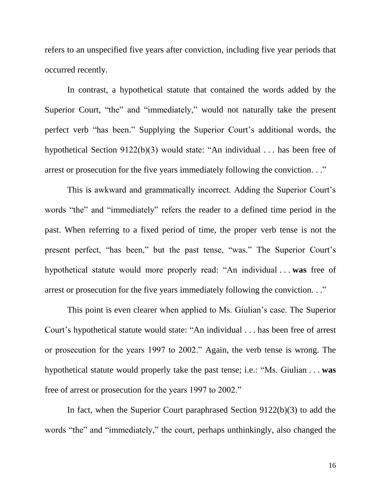refers to an unspecified five years after conviction, including five year periods that occurred recently.

In contrast, a hypothetical statute that contained the words added by the Superior Court, "the" and "immediately," would not naturally take the present perfect verb "has been." Supplying the Superior Court's additional words, the hypothetical Section 9122(b)(3) would state: "An individual . . . has been free of arrest or prosecution for the five years immediately following the conviction. . ."

This is awkward and grammatically incorrect. Adding the Superior Court's words "the" and "immediately" refers the reader to a defined time period in the past. When referring to a fixed period of time, the proper verb tense is not the present perfect, "has been," but the past tense, "was." The Superior Court's hypothetical statute would more properly read: "An individual . . . **was** free of arrest or prosecution for the five years immediately following the conviction. . ."

This point is even clearer when applied to Ms. Giulian's case. The Superior Court's hypothetical statute would state: "An individual . . . has been free of arrest or prosecution for the years 1997 to 2002." Again, the verb tense is wrong. The hypothetical statute would properly take the past tense; i.e.: "Ms. Giulian . . . **was** free of arrest or prosecution for the years 1997 to 2002."

In fact, when the Superior Court paraphrased Section 9122(b)(3) to add the words "the" and "immediately," the court, perhaps unthinkingly, also changed the

16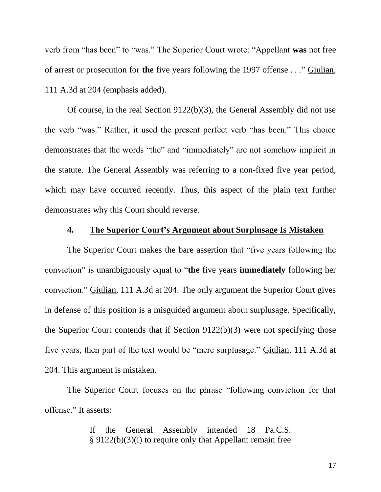verb from "has been" to "was." The Superior Court wrote: "Appellant **was** not free of arrest or prosecution for **the** five years following the 1997 offense . . ." Giulian, 111 A.3d at 204 (emphasis added).

Of course, in the real Section 9122(b)(3), the General Assembly did not use the verb "was." Rather, it used the present perfect verb "has been." This choice demonstrates that the words "the" and "immediately" are not somehow implicit in the statute. The General Assembly was referring to a non-fixed five year period, which may have occurred recently. Thus, this aspect of the plain text further demonstrates why this Court should reverse.

### **4. The Superior Court's Argument about Surplusage Is Mistaken**

The Superior Court makes the bare assertion that "five years following the conviction" is unambiguously equal to "**the** five years **immediately** following her conviction." Giulian, 111 A.3d at 204. The only argument the Superior Court gives in defense of this position is a misguided argument about surplusage. Specifically, the Superior Court contends that if Section 9122(b)(3) were not specifying those five years, then part of the text would be "mere surplusage." Giulian, 111 A.3d at 204. This argument is mistaken.

The Superior Court focuses on the phrase "following conviction for that offense." It asserts:

> If the General Assembly intended 18 Pa.C.S. § 9122(b)(3)(i) to require only that Appellant remain free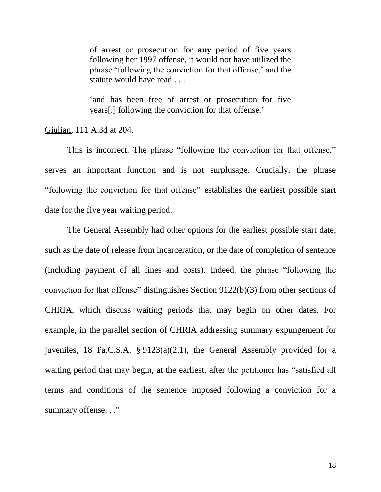of arrest or prosecution for **any** period of five years following her 1997 offense, it would not have utilized the phrase 'following the conviction for that offense,' and the statute would have read . . .

'and has been free of arrest or prosecution for five years[.] following the conviction for that offense.'

Giulian, 111 A.3d at 204.

This is incorrect. The phrase "following the conviction for that offense," serves an important function and is not surplusage. Crucially, the phrase "following the conviction for that offense" establishes the earliest possible start date for the five year waiting period.

The General Assembly had other options for the earliest possible start date, such as the date of release from incarceration, or the date of completion of sentence (including payment of all fines and costs). Indeed, the phrase "following the conviction for that offense" distinguishes Section 9122(b)(3) from other sections of CHRIA, which discuss waiting periods that may begin on other dates. For example, in the parallel section of CHRIA addressing summary expungement for juveniles, 18 Pa.C.S.A. § 9123(a)(2.1), the General Assembly provided for a waiting period that may begin, at the earliest, after the petitioner has "satisfied all terms and conditions of the sentence imposed following a conviction for a summary offense..."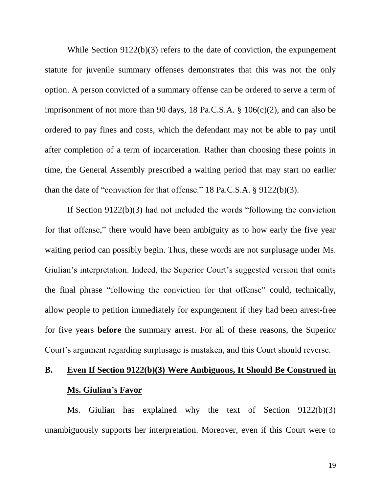While Section 9122(b)(3) refers to the date of conviction, the expungement statute for juvenile summary offenses demonstrates that this was not the only option. A person convicted of a summary offense can be ordered to serve a term of imprisonment of not more than 90 days, 18 Pa.C.S.A. § 106(c)(2), and can also be ordered to pay fines and costs, which the defendant may not be able to pay until after completion of a term of incarceration. Rather than choosing these points in time, the General Assembly prescribed a waiting period that may start no earlier than the date of "conviction for that offense." 18 Pa.C.S.A. § 9122(b)(3).

If Section 9122(b)(3) had not included the words "following the conviction for that offense," there would have been ambiguity as to how early the five year waiting period can possibly begin. Thus, these words are not surplusage under Ms. Giulian's interpretation. Indeed, the Superior Court's suggested version that omits the final phrase "following the conviction for that offense" could, technically, allow people to petition immediately for expungement if they had been arrest-free for five years **before** the summary arrest. For all of these reasons, the Superior Court's argument regarding surplusage is mistaken, and this Court should reverse.

# **B. Even If Section 9122(b)(3) Were Ambiguous, It Should Be Construed in Ms. Giulian's Favor**

Ms. Giulian has explained why the text of Section 9122(b)(3) unambiguously supports her interpretation. Moreover, even if this Court were to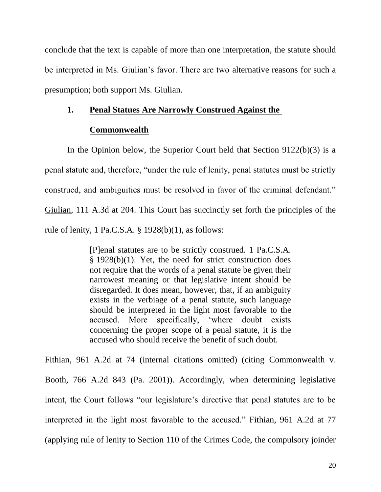conclude that the text is capable of more than one interpretation, the statute should be interpreted in Ms. Giulian's favor. There are two alternative reasons for such a presumption; both support Ms. Giulian.

#### **1. Penal Statues Are Narrowly Construed Against the**

#### **Commonwealth**

In the Opinion below, the Superior Court held that Section 9122(b)(3) is a penal statute and, therefore, "under the rule of lenity, penal statutes must be strictly construed, and ambiguities must be resolved in favor of the criminal defendant." Giulian, 111 A.3d at 204. This Court has succinctly set forth the principles of the rule of lenity, 1 Pa.C.S.A. § 1928(b)(1), as follows:

> [P]enal statutes are to be strictly construed. 1 Pa.C.S.A. § 1928(b)(1). Yet, the need for strict construction does not require that the words of a penal statute be given their narrowest meaning or that legislative intent should be disregarded. It does mean, however, that, if an ambiguity exists in the verbiage of a penal statute, such language should be interpreted in the light most favorable to the accused. More specifically, 'where doubt exists concerning the proper scope of a penal statute, it is the accused who should receive the benefit of such doubt.

Fithian, 961 A.2d at 74 (internal citations omitted) (citing Commonwealth v. Booth, 766 A.2d 843 (Pa. 2001)). Accordingly, when determining legislative intent, the Court follows "our legislature's directive that penal statutes are to be interpreted in the light most favorable to the accused." Fithian, 961 A.2d at 77 (applying rule of lenity to Section 110 of the Crimes Code, the compulsory joinder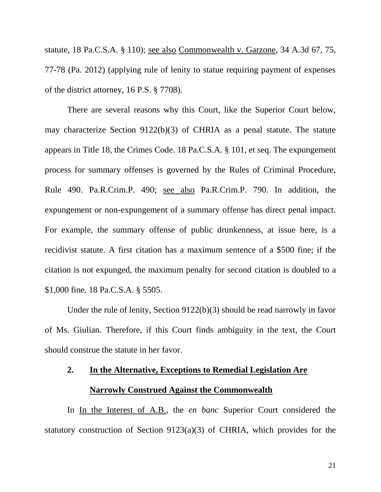statute, 18 Pa.C.S.A. § 110); see also Commonwealth v. Garzone, 34 A.3d 67, 75, 77-78 (Pa. 2012) (applying rule of lenity to statue requiring payment of expenses of the district attorney, 16 P.S. § 7708).

There are several reasons why this Court, like the Superior Court below, may characterize Section 9122(b)(3) of CHRIA as a penal statute. The statute appears in Title 18, the Crimes Code. 18 Pa.C.S.A. § 101, et seq. The expungement process for summary offenses is governed by the Rules of Criminal Procedure, Rule 490. Pa.R.Crim.P. 490; see also Pa.R.Crim.P. 790. In addition, the expungement or non-expungement of a summary offense has direct penal impact. For example, the summary offense of public drunkenness, at issue here, is a recidivist statute. A first citation has a maximum sentence of a \$500 fine; if the citation is not expunged, the maximum penalty for second citation is doubled to a \$1,000 fine. 18 Pa.C.S.A. § 5505.

Under the rule of lenity, Section 9122(b)(3) should be read narrowly in favor of Ms. Giulian. Therefore, if this Court finds ambiguity in the text, the Court should construe the statute in her favor.

# **2. In the Alternative, Exceptions to Remedial Legislation Are Narrowly Construed Against the Commonwealth**

In In the Interest of A.B., the *en banc* Superior Court considered the statutory construction of Section 9123(a)(3) of CHRIA, which provides for the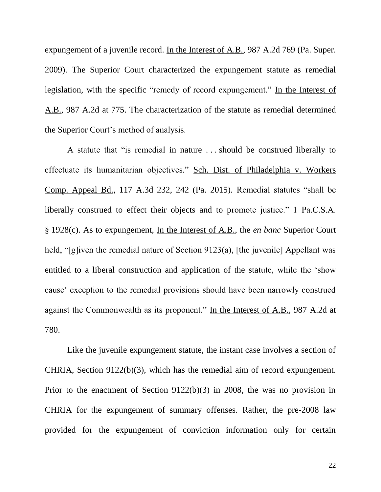expungement of a juvenile record. In the Interest of A.B., 987 A.2d 769 (Pa. Super. 2009). The Superior Court characterized the expungement statute as remedial legislation, with the specific "remedy of record expungement." In the Interest of A.B., 987 A.2d at 775. The characterization of the statute as remedial determined the Superior Court's method of analysis.

A statute that "is remedial in nature . . . should be construed liberally to effectuate its humanitarian objectives." Sch. Dist. of Philadelphia v. Workers Comp. Appeal Bd., 117 A.3d 232, 242 (Pa. 2015). Remedial statutes "shall be liberally construed to effect their objects and to promote justice." 1 Pa.C.S.A. § 1928(c). As to expungement, In the Interest of A.B., the *en banc* Superior Court held, "[g]iven the remedial nature of Section 9123(a), [the juvenile] Appellant was entitled to a liberal construction and application of the statute, while the 'show cause' exception to the remedial provisions should have been narrowly construed against the Commonwealth as its proponent." In the Interest of A.B., 987 A.2d at 780.

Like the juvenile expungement statute, the instant case involves a section of CHRIA, Section 9122(b)(3), which has the remedial aim of record expungement. Prior to the enactment of Section 9122(b)(3) in 2008, the was no provision in CHRIA for the expungement of summary offenses. Rather, the pre-2008 law provided for the expungement of conviction information only for certain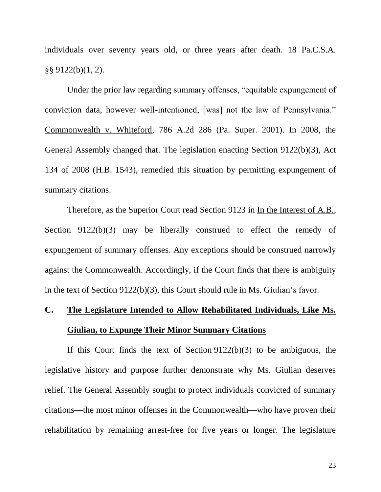individuals over seventy years old, or three years after death. 18 Pa.C.S.A. §§ 9122(b)(1, 2).

Under the prior law regarding summary offenses, "equitable expungement of conviction data, however well-intentioned, [was] not the law of Pennsylvania." Commonwealth v. Whiteford, 786 A.2d 286 (Pa. Super. 2001). In 2008, the General Assembly changed that. The legislation enacting Section 9122(b)(3), Act 134 of 2008 (H.B. 1543), remedied this situation by permitting expungement of summary citations.

Therefore, as the Superior Court read Section 9123 in In the Interest of A.B., Section 9122(b)(3) may be liberally construed to effect the remedy of expungement of summary offenses. Any exceptions should be construed narrowly against the Commonwealth. Accordingly, if the Court finds that there is ambiguity in the text of Section 9122(b)(3), this Court should rule in Ms. Giulian's favor.

# **C. The Legislature Intended to Allow Rehabilitated Individuals, Like Ms. Giulian, to Expunge Their Minor Summary Citations**

If this Court finds the text of Section 9122(b)(3) to be ambiguous, the legislative history and purpose further demonstrate why Ms. Giulian deserves relief. The General Assembly sought to protect individuals convicted of summary citations—the most minor offenses in the Commonwealth—who have proven their rehabilitation by remaining arrest-free for five years or longer. The legislature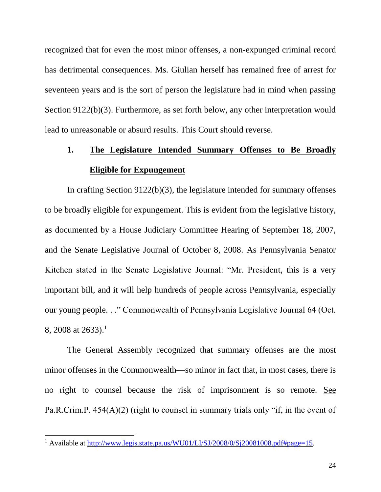recognized that for even the most minor offenses, a non-expunged criminal record has detrimental consequences. Ms. Giulian herself has remained free of arrest for seventeen years and is the sort of person the legislature had in mind when passing Section 9122(b)(3). Furthermore, as set forth below, any other interpretation would lead to unreasonable or absurd results. This Court should reverse.

# **1. The Legislature Intended Summary Offenses to Be Broadly Eligible for Expungement**

In crafting Section 9122(b)(3), the legislature intended for summary offenses to be broadly eligible for expungement. This is evident from the legislative history, as documented by a House Judiciary Committee Hearing of September 18, 2007, and the Senate Legislative Journal of October 8, 2008. As Pennsylvania Senator Kitchen stated in the Senate Legislative Journal: "Mr. President, this is a very important bill, and it will help hundreds of people across Pennsylvania, especially our young people. . ." Commonwealth of Pennsylvania Legislative Journal 64 (Oct. 8, 2008 at 2633).<sup>1</sup>

The General Assembly recognized that summary offenses are the most minor offenses in the Commonwealth—so minor in fact that, in most cases, there is no right to counsel because the risk of imprisonment is so remote. See Pa.R.Crim.P.  $454(A)(2)$  (right to counsel in summary trials only "if, in the event of

 $\overline{\phantom{a}}$ 

<sup>&</sup>lt;sup>1</sup> Available at [http://www.legis.state.pa.us/WU01/LI/SJ/2008/0/Sj20081008.pdf#page=15.](http://www.legis.state.pa.us/WU01/LI/SJ/2008/0/Sj20081008.pdf#page=15)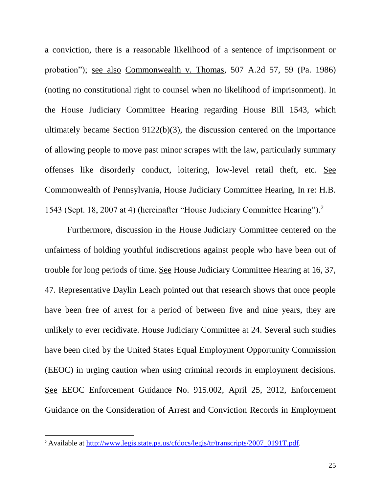a conviction, there is a reasonable likelihood of a sentence of imprisonment or probation"); see also Commonwealth v. Thomas, 507 A.2d 57, 59 (Pa. 1986) (noting no constitutional right to counsel when no likelihood of imprisonment). In the House Judiciary Committee Hearing regarding House Bill 1543, which ultimately became Section 9122(b)(3), the discussion centered on the importance of allowing people to move past minor scrapes with the law, particularly summary offenses like disorderly conduct, loitering, low-level retail theft, etc. See Commonwealth of Pennsylvania, House Judiciary Committee Hearing, In re: H.B. 1543 (Sept. 18, 2007 at 4) (hereinafter "House Judiciary Committee Hearing").<sup>2</sup>

Furthermore, discussion in the House Judiciary Committee centered on the unfairness of holding youthful indiscretions against people who have been out of trouble for long periods of time. See House Judiciary Committee Hearing at 16, 37, 47. Representative Daylin Leach pointed out that research shows that once people have been free of arrest for a period of between five and nine years, they are unlikely to ever recidivate. House Judiciary Committee at 24. Several such studies have been cited by the United States Equal Employment Opportunity Commission (EEOC) in urging caution when using criminal records in employment decisions. See EEOC Enforcement Guidance No. 915.002, April 25, 2012, Enforcement Guidance on the Consideration of Arrest and Conviction Records in Employment

 $\overline{a}$ 

<sup>&</sup>lt;sup>2</sup> Available at [http://www.legis.state.pa.us/cfdocs/legis/tr/transcripts/2007\\_0191T.pdf.](http://www.legis.state.pa.us/cfdocs/legis/tr/transcripts/2007_0191T.pdf)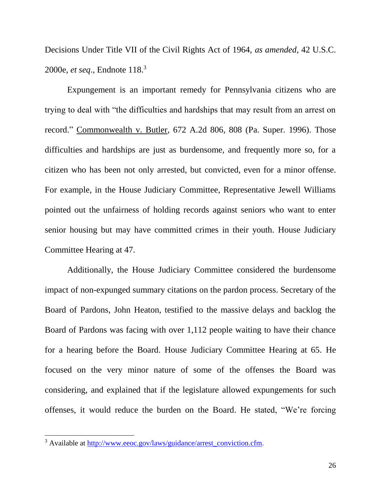Decisions Under Title VII of the Civil Rights Act of 1964, *as amended*, 42 U.S.C. 2000e, *et seq*., Endnote 118. 3

Expungement is an important remedy for Pennsylvania citizens who are trying to deal with "the difficulties and hardships that may result from an arrest on record." Commonwealth v. Butler, 672 A.2d 806, 808 (Pa. Super. 1996). Those difficulties and hardships are just as burdensome, and frequently more so, for a citizen who has been not only arrested, but convicted, even for a minor offense. For example, in the House Judiciary Committee, Representative Jewell Williams pointed out the unfairness of holding records against seniors who want to enter senior housing but may have committed crimes in their youth. House Judiciary Committee Hearing at 47.

Additionally, the House Judiciary Committee considered the burdensome impact of non-expunged summary citations on the pardon process. Secretary of the Board of Pardons, John Heaton, testified to the massive delays and backlog the Board of Pardons was facing with over 1,112 people waiting to have their chance for a hearing before the Board. House Judiciary Committee Hearing at 65. He focused on the very minor nature of some of the offenses the Board was considering, and explained that if the legislature allowed expungements for such offenses, it would reduce the burden on the Board. He stated, "We're forcing

 $\overline{\phantom{a}}$ 

<sup>&</sup>lt;sup>3</sup> Available at [http://www.eeoc.gov/laws/guidance/arrest\\_conviction.cfm.](http://www.eeoc.gov/laws/guidance/arrest_conviction.cfm)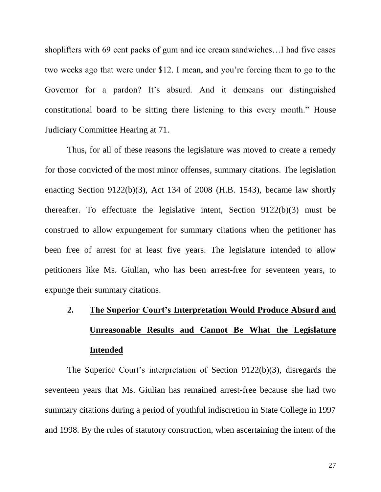shoplifters with 69 cent packs of gum and ice cream sandwiches…I had five cases two weeks ago that were under \$12. I mean, and you're forcing them to go to the Governor for a pardon? It's absurd. And it demeans our distinguished constitutional board to be sitting there listening to this every month." House Judiciary Committee Hearing at 71.

Thus, for all of these reasons the legislature was moved to create a remedy for those convicted of the most minor offenses, summary citations. The legislation enacting Section 9122(b)(3), Act 134 of 2008 (H.B. 1543), became law shortly thereafter. To effectuate the legislative intent, Section 9122(b)(3) must be construed to allow expungement for summary citations when the petitioner has been free of arrest for at least five years. The legislature intended to allow petitioners like Ms. Giulian, who has been arrest-free for seventeen years, to expunge their summary citations.

# **2. The Superior Court's Interpretation Would Produce Absurd and Unreasonable Results and Cannot Be What the Legislature Intended**

The Superior Court's interpretation of Section 9122(b)(3), disregards the seventeen years that Ms. Giulian has remained arrest-free because she had two summary citations during a period of youthful indiscretion in State College in 1997 and 1998. By the rules of statutory construction, when ascertaining the intent of the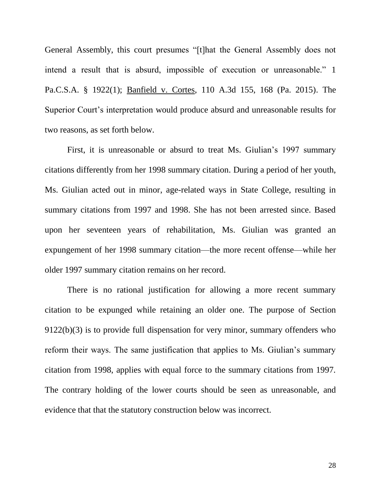General Assembly, this court presumes "[t]hat the General Assembly does not intend a result that is absurd, impossible of execution or unreasonable." 1 Pa.C.S.A. § 1922(1); Banfield v. Cortes, 110 A.3d 155, 168 (Pa. 2015). The Superior Court's interpretation would produce absurd and unreasonable results for two reasons, as set forth below.

First, it is unreasonable or absurd to treat Ms. Giulian's 1997 summary citations differently from her 1998 summary citation. During a period of her youth, Ms. Giulian acted out in minor, age-related ways in State College, resulting in summary citations from 1997 and 1998. She has not been arrested since. Based upon her seventeen years of rehabilitation, Ms. Giulian was granted an expungement of her 1998 summary citation—the more recent offense—while her older 1997 summary citation remains on her record.

There is no rational justification for allowing a more recent summary citation to be expunged while retaining an older one. The purpose of Section 9122(b)(3) is to provide full dispensation for very minor, summary offenders who reform their ways. The same justification that applies to Ms. Giulian's summary citation from 1998, applies with equal force to the summary citations from 1997. The contrary holding of the lower courts should be seen as unreasonable, and evidence that that the statutory construction below was incorrect.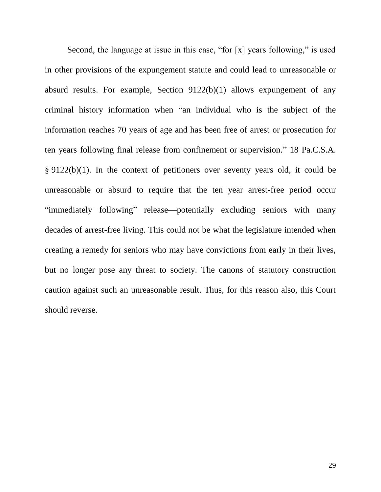Second, the language at issue in this case, "for [x] years following," is used in other provisions of the expungement statute and could lead to unreasonable or absurd results. For example, Section 9122(b)(1) allows expungement of any criminal history information when "an individual who is the subject of the information reaches 70 years of age and has been free of arrest or prosecution for ten years following final release from confinement or supervision." 18 Pa.C.S.A. § 9122(b)(1). In the context of petitioners over seventy years old, it could be unreasonable or absurd to require that the ten year arrest-free period occur "immediately following" release—potentially excluding seniors with many decades of arrest-free living. This could not be what the legislature intended when creating a remedy for seniors who may have convictions from early in their lives, but no longer pose any threat to society. The canons of statutory construction caution against such an unreasonable result. Thus, for this reason also, this Court should reverse.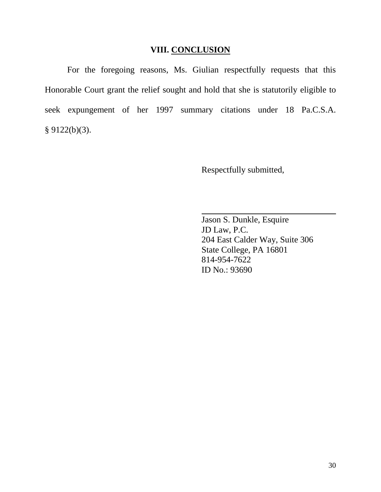#### **VIII. CONCLUSION**

For the foregoing reasons, Ms. Giulian respectfully requests that this Honorable Court grant the relief sought and hold that she is statutorily eligible to seek expungement of her 1997 summary citations under 18 Pa.C.S.A.  $§ 9122(b)(3).$ 

Respectfully submitted,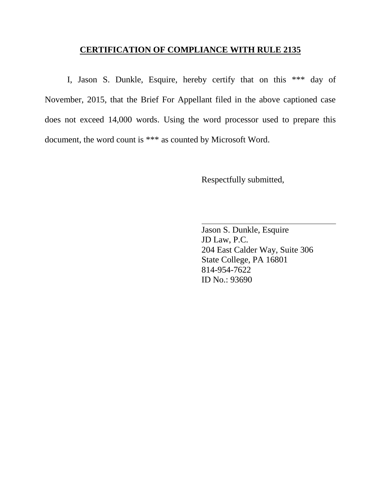### **CERTIFICATION OF COMPLIANCE WITH RULE 2135**

I, Jason S. Dunkle, Esquire, hereby certify that on this \*\*\* day of November, 2015, that the Brief For Appellant filed in the above captioned case does not exceed 14,000 words. Using the word processor used to prepare this document, the word count is \*\*\* as counted by Microsoft Word.

Respectfully submitted,